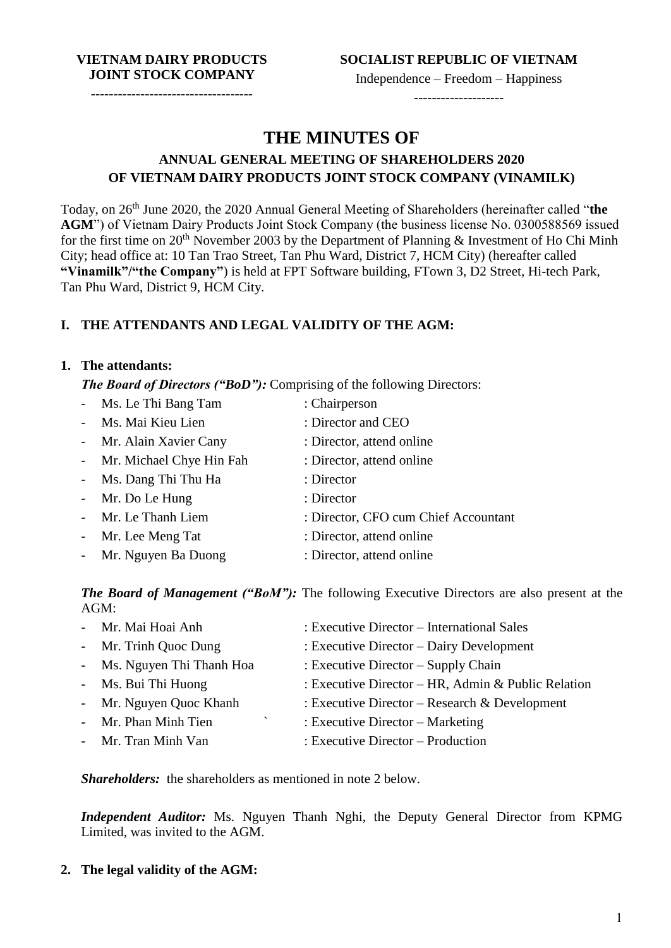#### **VIETNAM DAIRY PRODUCTS JOINT STOCK COMPANY**

------------------------------------

Independence – Freedom – Happiness

--------------------

# **THE MINUTES OF**

# **ANNUAL GENERAL MEETING OF SHAREHOLDERS 2020 OF VIETNAM DAIRY PRODUCTS JOINT STOCK COMPANY (VINAMILK)**

Today, on 26th June 2020, the 2020 Annual General Meeting of Shareholders (hereinafter called "**the AGM**") of Vietnam Dairy Products Joint Stock Company (the business license No. 0300588569 issued for the first time on  $20^{th}$  November 2003 by the Department of Planning & Investment of Ho Chi Minh City; head office at: 10 Tan Trao Street, Tan Phu Ward, District 7, HCM City) (hereafter called **"Vinamilk"/"the Company"**) is held at FPT Software building, FTown 3, D2 Street, Hi-tech Park, Tan Phu Ward, District 9, HCM City.

# **I. THE ATTENDANTS AND LEGAL VALIDITY OF THE AGM:**

### **1. The attendants:**

*The Board of Directors ("BoD"):* Comprising of the following Directors:

| - Ms. Le Thi Bang Tam      | : Chairperson                        |
|----------------------------|--------------------------------------|
| - Ms. Mai Kieu Lien        | : Director and CEO                   |
| - Mr. Alain Xavier Cany    | : Director, attend online            |
| - Mr. Michael Chye Hin Fah | : Director, attend online            |
| - Ms. Dang Thi Thu Ha      | : Director                           |
| - Mr. Do Le Hung           | : Director                           |
| - Mr. Le Thanh Liem        | : Director, CFO cum Chief Accountant |
| - Mr. Lee Meng Tat         | : Director, attend online            |
| - Mr. Nguyen Ba Duong      | : Director, attend online            |

*The Board of Management ("BoM"):* The following Executive Directors are also present at the AGM:

| - Mr. Mai Hoai Anh         | : Executive Director – International Sales         |
|----------------------------|----------------------------------------------------|
| - Mr. Trinh Quoc Dung      | : Executive Director – Dairy Development           |
| - Ms. Nguyen Thi Thanh Hoa | : Executive Director $-$ Supply Chain              |
| - Ms. Bui Thi Huong        | : Executive Director – HR, Admin & Public Relation |
| - Mr. Nguyen Quoc Khanh    | : Executive Director – Research & Development      |
| - Mr. Phan Minh Tien       | : Executive Director $-$ Marketing                 |
| - Mr. Tran Minh Van        | $:$ Executive Director – Production                |

*Shareholders:* the shareholders as mentioned in note 2 below.

*Independent Auditor:* Ms. Nguyen Thanh Nghi, the Deputy General Director from KPMG Limited, was invited to the AGM.

**2. The legal validity of the AGM:**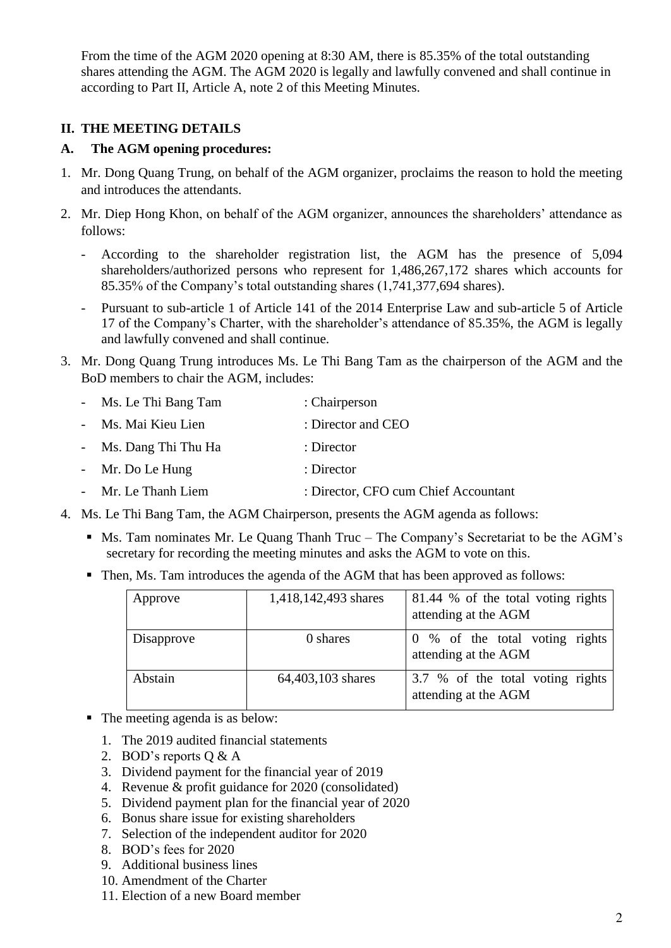From the time of the AGM 2020 opening at 8:30 AM, there is 85.35% of the total outstanding shares attending the AGM. The AGM 2020 is legally and lawfully convened and shall continue in according to Part II, Article A, note 2 of this Meeting Minutes.

## **II. THE MEETING DETAILS**

### **A. The AGM opening procedures:**

- 1. Mr. Dong Quang Trung, on behalf of the AGM organizer, proclaims the reason to hold the meeting and introduces the attendants.
- 2. Mr. Diep Hong Khon, on behalf of the AGM organizer, announces the shareholders' attendance as follows:
	- According to the shareholder registration list, the AGM has the presence of 5,094 shareholders/authorized persons who represent for 1,486,267,172 shares which accounts for 85.35% of the Company's total outstanding shares (1,741,377,694 shares).
	- Pursuant to sub-article 1 of Article 141 of the 2014 Enterprise Law and sub-article 5 of Article 17 of the Company's Charter, with the shareholder's attendance of 85.35%, the AGM is legally and lawfully convened and shall continue.
- 3. Mr. Dong Quang Trung introduces Ms. Le Thi Bang Tam as the chairperson of the AGM and the BoD members to chair the AGM, includes:
	- Ms. Le Thi Bang Tam : Chairperson
	- Ms. Mai Kieu Lien : Director and CEO
	- Ms. Dang Thi Thu Ha : Director
	- Mr. Do Le Hung : Director
	- Mr. Le Thanh Liem : Director, CFO cum Chief Accountant
- 4. Ms. Le Thi Bang Tam, the AGM Chairperson, presents the AGM agenda as follows:
	- Ms. Tam nominates Mr. Le Quang Thanh Truc The Company's Secretariat to be the AGM's secretary for recording the meeting minutes and asks the AGM to vote on this.
	- Then, Ms. Tam introduces the agenda of the AGM that has been approved as follows:

| Approve    | 1,418,142,493 shares | 81.44 % of the total voting rights<br>attending at the AGM |
|------------|----------------------|------------------------------------------------------------|
| Disapprove | 0 shares             | 0 % of the total voting rights<br>attending at the AGM     |
| Abstain    | 64,403,103 shares    | 3.7 % of the total voting rights<br>attending at the AGM   |

- The meeting agenda is as below:
	- 1. The 2019 audited financial statements
	- 2. BOD's reports Q & A
	- 3. Dividend payment for the financial year of 2019
	- 4. Revenue & profit guidance for 2020 (consolidated)
	- 5. Dividend payment plan for the financial year of 2020
	- 6. Bonus share issue for existing shareholders
	- 7. Selection of the independent auditor for 2020
	- 8. BOD's fees for 2020
	- 9. Additional business lines
	- 10. Amendment of the Charter
	- 11. Election of a new Board member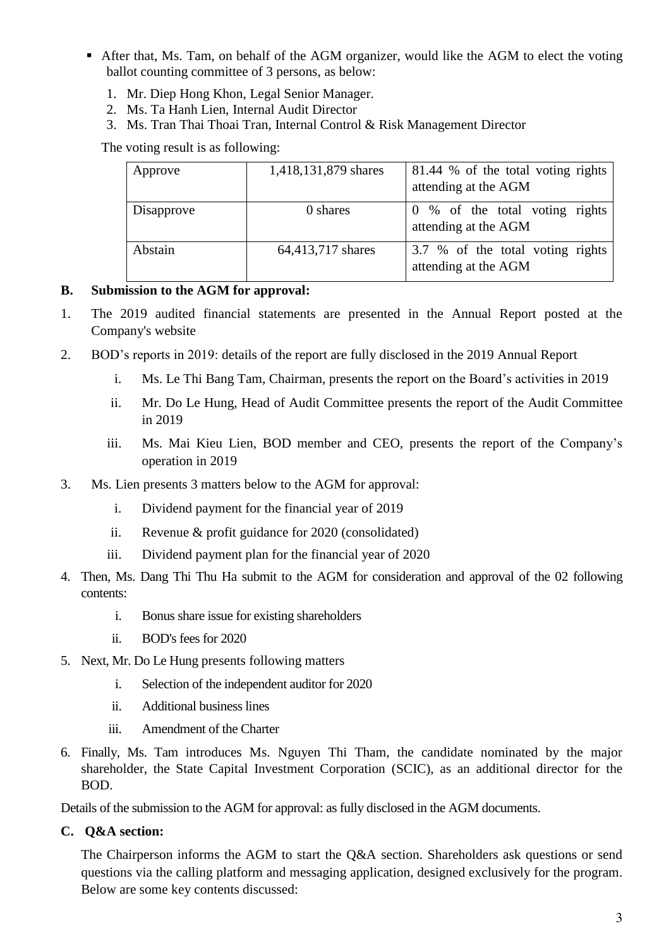- After that, Ms. Tam, on behalf of the AGM organizer, would like the AGM to elect the voting ballot counting committee of 3 persons, as below:
	- 1. Mr. Diep Hong Khon, Legal Senior Manager.
	- 2. Ms. Ta Hanh Lien, Internal Audit Director
	- 3. Ms. Tran Thai Thoai Tran, Internal Control & Risk Management Director

The voting result is as following:

| Approve    | 1,418,131,879 shares | 81.44 % of the total voting rights<br>attending at the AGM |
|------------|----------------------|------------------------------------------------------------|
| Disapprove | 0 shares             | 0 % of the total voting rights<br>attending at the AGM     |
| Abstain    | 64,413,717 shares    | 3.7 % of the total voting rights<br>attending at the AGM   |

## **B. Submission to the AGM for approval:**

- 1. The 2019 audited financial statements are presented in the Annual Report posted at the Company's website
- 2. BOD's reports in 2019: details of the report are fully disclosed in the 2019 Annual Report
	- i. Ms. Le Thi Bang Tam, Chairman, presents the report on the Board's activities in 2019
	- ii. Mr. Do Le Hung, Head of Audit Committee presents the report of the Audit Committee in 2019
	- iii. Ms. Mai Kieu Lien, BOD member and CEO, presents the report of the Company's operation in 2019
- 3. Ms. Lien presents 3 matters below to the AGM for approval:
	- i. Dividend payment for the financial year of 2019
	- ii. Revenue & profit guidance for 2020 (consolidated)
	- iii. Dividend payment plan for the financial year of 2020
- 4. Then, Ms. Dang Thi Thu Ha submit to the AGM for consideration and approval of the 02 following contents:
	- i. Bonus share issue for existing shareholders
	- ii. BOD's fees for 2020
- 5. Next, Mr. Do Le Hung presents following matters
	- i. Selection of the independent auditor for 2020
	- ii. Additional business lines
	- iii. Amendment of the Charter
- 6. Finally, Ms. Tam introduces Ms. Nguyen Thi Tham, the candidate nominated by the major shareholder, the State Capital Investment Corporation (SCIC), as an additional director for the BOD.

Details of the submission to the AGM for approval: as fully disclosed in the AGM documents.

### **C. Q&A section:**

The Chairperson informs the AGM to start the Q&A section. Shareholders ask questions or send questions via the calling platform and messaging application, designed exclusively for the program. Below are some key contents discussed: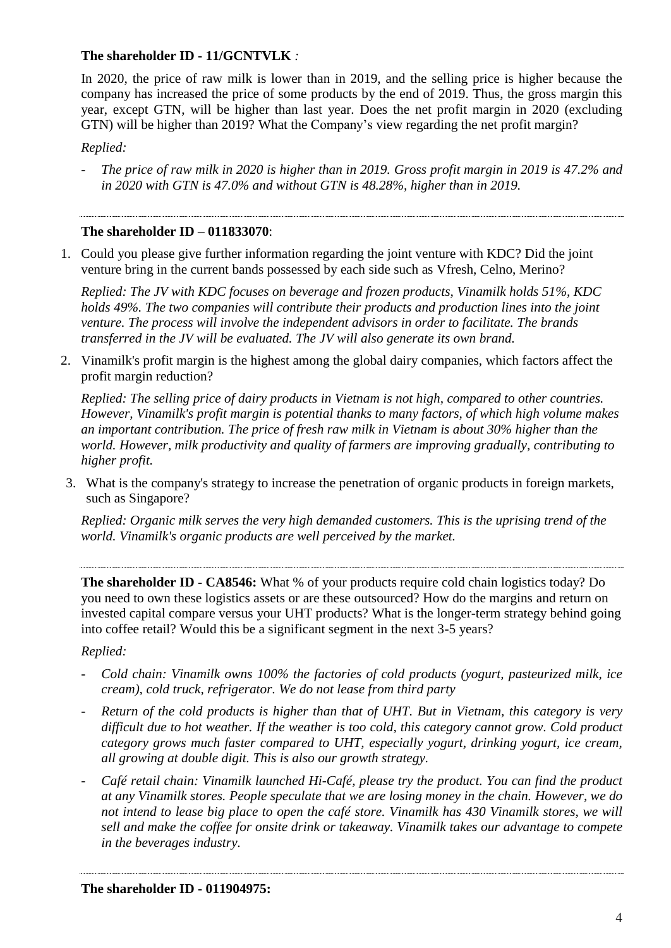### **The shareholder ID - 11/GCNTVLK** *:*

In 2020, the price of raw milk is lower than in 2019, and the selling price is higher because the company has increased the price of some products by the end of 2019. Thus, the gross margin this year, except GTN, will be higher than last year. Does the net profit margin in 2020 (excluding GTN) will be higher than 2019? What the Company's view regarding the net profit margin?

### *Replied:*

- *The price of raw milk in 2020 is higher than in 2019. Gross profit margin in 2019 is 47.2% and in 2020 with GTN is 47.0% and without GTN is 48.28%, higher than in 2019.*

### **The shareholder ID – 011833070**:

1. Could you please give further information regarding the joint venture with KDC? Did the joint venture bring in the current bands possessed by each side such as Vfresh, Celno, Merino?

*Replied: The JV with KDC focuses on beverage and frozen products, Vinamilk holds 51%, KDC holds 49%. The two companies will contribute their products and production lines into the joint venture. The process will involve the independent advisors in order to facilitate. The brands transferred in the JV will be evaluated. The JV will also generate its own brand.*

2. Vinamilk's profit margin is the highest among the global dairy companies, which factors affect the profit margin reduction?

*Replied: The selling price of dairy products in Vietnam is not high, compared to other countries. However, Vinamilk's profit margin is potential thanks to many factors, of which high volume makes an important contribution. The price of fresh raw milk in Vietnam is about 30% higher than the world. However, milk productivity and quality of farmers are improving gradually, contributing to higher profit.*

3. What is the company's strategy to increase the penetration of organic products in foreign markets, such as Singapore?

*Replied: Organic milk serves the very high demanded customers. This is the uprising trend of the world. Vinamilk's organic products are well perceived by the market.*

**The shareholder ID - CA8546:** What % of your products require cold chain logistics today? Do you need to own these logistics assets or are these outsourced? How do the margins and return on invested capital compare versus your UHT products? What is the longer-term strategy behind going into coffee retail? Would this be a significant segment in the next 3-5 years?

#### *Replied:*

- *Cold chain: Vinamilk owns 100% the factories of cold products (yogurt, pasteurized milk, ice cream), cold truck, refrigerator. We do not lease from third party*
- Return of the cold products is higher than that of UHT. But in Vietnam, this category is very *difficult due to hot weather. If the weather is too cold, this category cannot grow. Cold product category grows much faster compared to UHT, especially yogurt, drinking yogurt, ice cream, all growing at double digit. This is also our growth strategy.*
- *Café retail chain: Vinamilk launched Hi-Café, please try the product. You can find the product at any Vinamilk stores. People speculate that we are losing money in the chain. However, we do not intend to lease big place to open the café store. Vinamilk has 430 Vinamilk stores, we will sell and make the coffee for onsite drink or takeaway. Vinamilk takes our advantage to compete in the beverages industry.*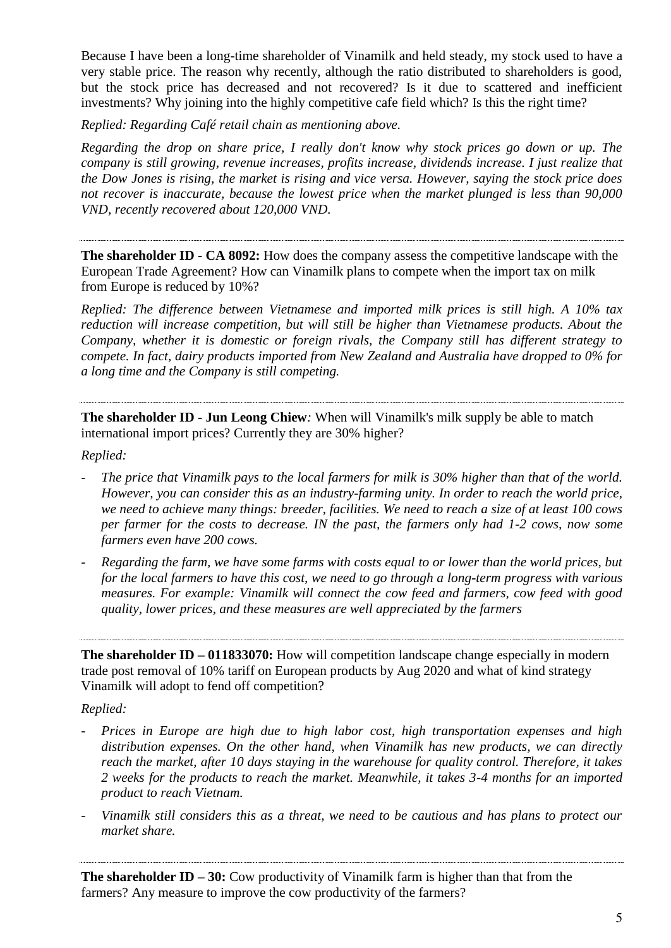Because I have been a long-time shareholder of Vinamilk and held steady, my stock used to have a very stable price. The reason why recently, although the ratio distributed to shareholders is good, but the stock price has decreased and not recovered? Is it due to scattered and inefficient investments? Why joining into the highly competitive cafe field which? Is this the right time?

*Replied: Regarding Café retail chain as mentioning above.* 

*Regarding the drop on share price, I really don't know why stock prices go down or up. The company is still growing, revenue increases, profits increase, dividends increase. I just realize that the Dow Jones is rising, the market is rising and vice versa. However, saying the stock price does not recover is inaccurate, because the lowest price when the market plunged is less than 90,000 VND, recently recovered about 120,000 VND.*

**The shareholder ID - CA 8092:** How does the company assess the competitive landscape with the European Trade Agreement? How can Vinamilk plans to compete when the import tax on milk from Europe is reduced by 10%?

*Replied: The difference between Vietnamese and imported milk prices is still high. A 10% tax reduction will increase competition, but will still be higher than Vietnamese products. About the Company, whether it is domestic or foreign rivals, the Company still has different strategy to compete. In fact, dairy products imported from New Zealand and Australia have dropped to 0% for a long time and the Company is still competing.*

**The shareholder ID - Jun Leong Chiew***:* When will Vinamilk's milk supply be able to match international import prices? Currently they are 30% higher?

*Replied:*

- *The price that Vinamilk pays to the local farmers for milk is 30% higher than that of the world. However, you can consider this as an industry-farming unity. In order to reach the world price, we need to achieve many things: breeder, facilities. We need to reach a size of at least 100 cows per farmer for the costs to decrease. IN the past, the farmers only had 1-2 cows, now some farmers even have 200 cows.*
- *Regarding the farm, we have some farms with costs equal to or lower than the world prices, but for the local farmers to have this cost, we need to go through a long-term progress with various measures. For example: Vinamilk will connect the cow feed and farmers, cow feed with good quality, lower prices, and these measures are well appreciated by the farmers*

**The shareholder ID – 011833070:** How will competition landscape change especially in modern trade post removal of 10% tariff on European products by Aug 2020 and what of kind strategy Vinamilk will adopt to fend off competition?

*Replied:*

- *Prices in Europe are high due to high labor cost, high transportation expenses and high distribution expenses. On the other hand, when Vinamilk has new products, we can directly reach the market, after 10 days staying in the warehouse for quality control. Therefore, it takes 2 weeks for the products to reach the market. Meanwhile, it takes 3-4 months for an imported product to reach Vietnam.*
- *Vinamilk still considers this as a threat, we need to be cautious and has plans to protect our market share.*

**The shareholder ID – 30:** Cow productivity of Vinamilk farm is higher than that from the farmers? Any measure to improve the cow productivity of the farmers?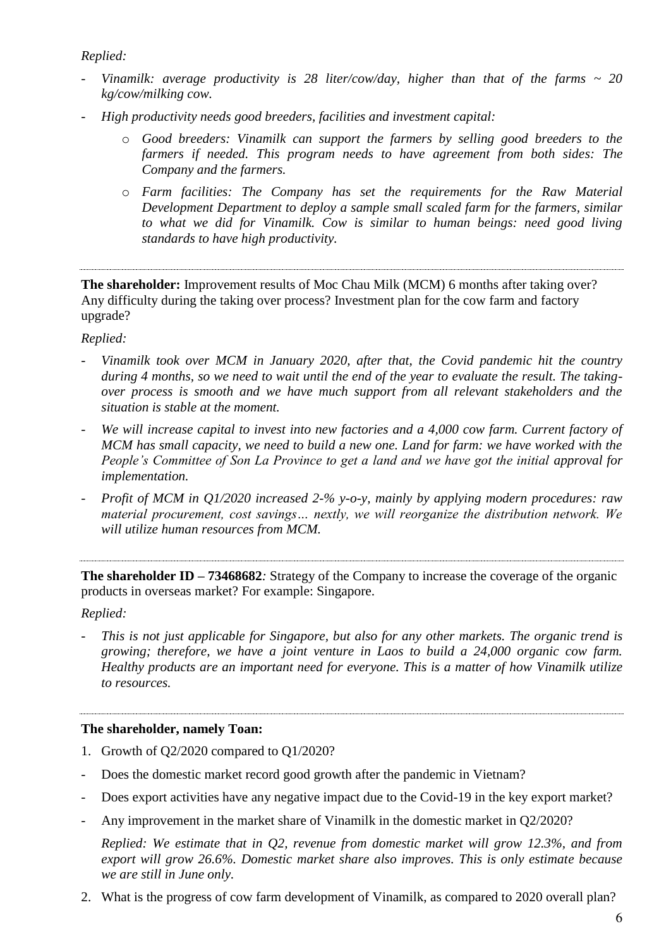*Replied:* 

- *Vinamilk: average productivity is 28 liter/cow/day, higher than that of the farms ~ 20 kg/cow/milking cow.*
- *High productivity needs good breeders, facilities and investment capital:*
	- o *Good breeders: Vinamilk can support the farmers by selling good breeders to the farmers if needed. This program needs to have agreement from both sides: The Company and the farmers.*
	- o *Farm facilities: The Company has set the requirements for the Raw Material Development Department to deploy a sample small scaled farm for the farmers, similar to what we did for Vinamilk. Cow is similar to human beings: need good living standards to have high productivity.*

**The shareholder:** Improvement results of Moc Chau Milk (MCM) 6 months after taking over? Any difficulty during the taking over process? Investment plan for the cow farm and factory upgrade?

### *Replied:*

- *Vinamilk took over MCM in January 2020, after that, the Covid pandemic hit the country during 4 months, so we need to wait until the end of the year to evaluate the result. The takingover process is smooth and we have much support from all relevant stakeholders and the situation is stable at the moment.*
- We will increase capital to invest into new factories and a 4,000 cow farm. Current factory of *MCM has small capacity, we need to build a new one. Land for farm: we have worked with the People's Committee of Son La Province to get a land and we have got the initial approval for implementation.*
- *Profit of MCM in Q1/2020 increased 2-% y-o-y, mainly by applying modern procedures: raw material procurement, cost savings… nextly, we will reorganize the distribution network. We will utilize human resources from MCM.*

**The shareholder ID – 73468682***:* Strategy of the Company to increase the coverage of the organic products in overseas market? For example: Singapore.

*Replied:* 

- *This is not just applicable for Singapore, but also for any other markets. The organic trend is growing; therefore, we have a joint venture in Laos to build a 24,000 organic cow farm. Healthy products are an important need for everyone. This is a matter of how Vinamilk utilize to resources.*

#### **The shareholder, namely Toan:**

- 1. Growth of Q2/2020 compared to Q1/2020?
- Does the domestic market record good growth after the pandemic in Vietnam?
- Does export activities have any negative impact due to the Covid-19 in the key export market?
- Any improvement in the market share of Vinamilk in the domestic market in Q2/2020?

*Replied: We estimate that in Q2, revenue from domestic market will grow 12.3%, and from export will grow 26.6%. Domestic market share also improves. This is only estimate because we are still in June only.*

2. What is the progress of cow farm development of Vinamilk, as compared to 2020 overall plan?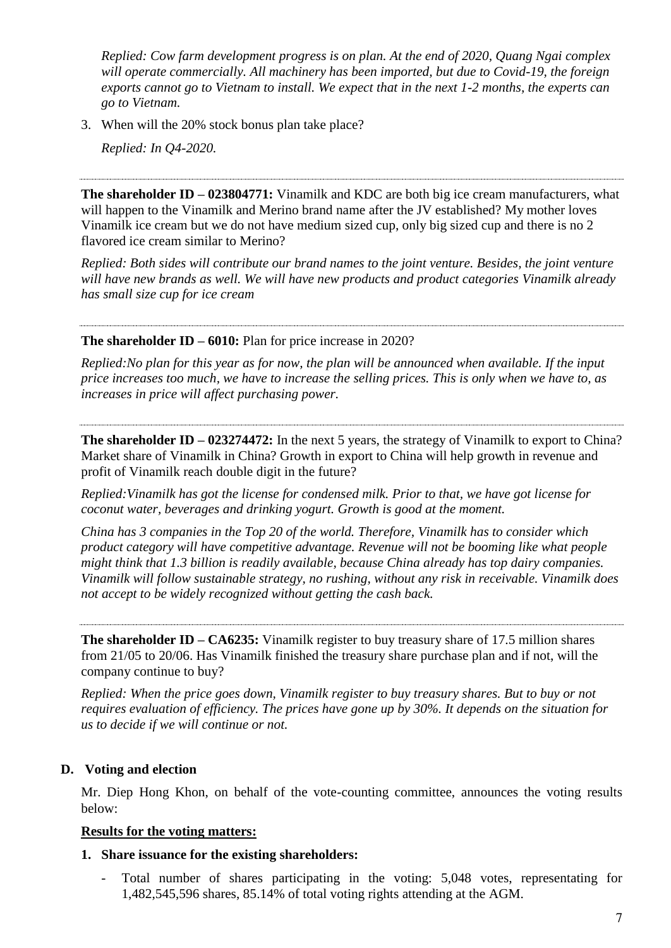*Replied: Cow farm development progress is on plan. At the end of 2020, Quang Ngai complex will operate commercially. All machinery has been imported, but due to Covid-19, the foreign exports cannot go to Vietnam to install. We expect that in the next 1-2 months, the experts can go to Vietnam.*

3. When will the 20% stock bonus plan take place?

*Replied: In Q4-2020.*

**The shareholder ID – 023804771:** Vinamilk and KDC are both big ice cream manufacturers, what will happen to the Vinamilk and Merino brand name after the JV established? My mother loves Vinamilk ice cream but we do not have medium sized cup, only big sized cup and there is no 2 flavored ice cream similar to Merino?

*Replied: Both sides will contribute our brand names to the joint venture. Besides, the joint venture will have new brands as well. We will have new products and product categories Vinamilk already has small size cup for ice cream*

**The shareholder ID – 6010:** Plan for price increase in 2020?

*Replied:No plan for this year as for now, the plan will be announced when available. If the input price increases too much, we have to increase the selling prices. This is only when we have to, as increases in price will affect purchasing power.*

**The shareholder ID – 023274472:** In the next 5 years, the strategy of Vinamilk to export to China? Market share of Vinamilk in China? Growth in export to China will help growth in revenue and profit of Vinamilk reach double digit in the future?

*Replied:Vinamilk has got the license for condensed milk. Prior to that, we have got license for coconut water, beverages and drinking yogurt. Growth is good at the moment.*

*China has 3 companies in the Top 20 of the world. Therefore, Vinamilk has to consider which product category will have competitive advantage. Revenue will not be booming like what people might think that 1.3 billion is readily available, because China already has top dairy companies. Vinamilk will follow sustainable strategy, no rushing, without any risk in receivable. Vinamilk does not accept to be widely recognized without getting the cash back.*

**The shareholder ID – CA6235:** Vinamilk register to buy treasury share of 17.5 million shares from 21/05 to 20/06. Has Vinamilk finished the treasury share purchase plan and if not, will the company continue to buy?

*Replied: When the price goes down, Vinamilk register to buy treasury shares. But to buy or not requires evaluation of efficiency. The prices have gone up by 30%. It depends on the situation for us to decide if we will continue or not.*

### **D. Voting and election**

Mr. Diep Hong Khon, on behalf of the vote-counting committee, announces the voting results below:

#### **Results for the voting matters:**

- **1. Share issuance for the existing shareholders:**
	- Total number of shares participating in the voting: 5,048 votes, representating for 1,482,545,596 shares, 85.14% of total voting rights attending at the AGM.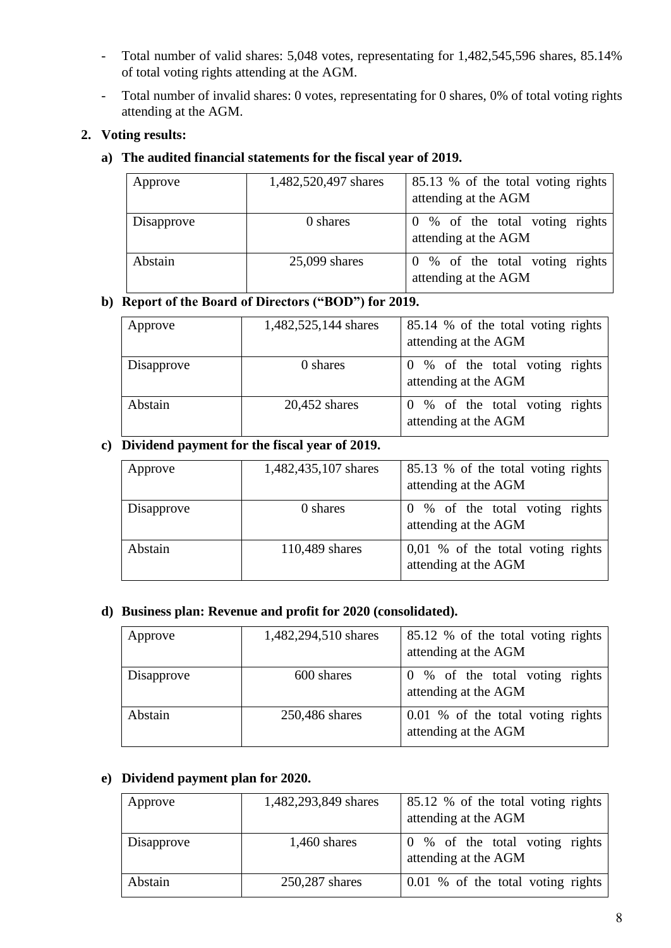- Total number of valid shares: 5,048 votes, representating for 1,482,545,596 shares, 85.14% of total voting rights attending at the AGM.
- Total number of invalid shares: 0 votes, representating for 0 shares, 0% of total voting rights attending at the AGM.

## **2. Voting results:**

## **a) The audited financial statements for the fiscal year of 2019.**

| Approve    | 1,482,520,497 shares | 85.13 % of the total voting rights<br>attending at the AGM |
|------------|----------------------|------------------------------------------------------------|
| Disapprove | 0 shares             | 0 % of the total voting rights<br>attending at the AGM     |
| Abstain    | $25,099$ shares      | 0 % of the total voting rights<br>attending at the AGM     |

# **b) Report of the Board of Directors ("BOD") for 2019.**

| Approve    | 1,482,525,144 shares | 85.14 % of the total voting rights<br>attending at the AGM |
|------------|----------------------|------------------------------------------------------------|
| Disapprove | 0 shares             | 0 % of the total voting rights<br>attending at the AGM     |
| Abstain    | $20,452$ shares      | 0 % of the total voting rights<br>attending at the AGM     |

# **c) Dividend payment for the fiscal year of 2019.**

| Approve    | 1,482,435,107 shares | 85.13 % of the total voting rights<br>attending at the AGM  |
|------------|----------------------|-------------------------------------------------------------|
| Disapprove | 0 shares             | 0 % of the total voting rights<br>attending at the AGM      |
| Abstain    | 110,489 shares       | $0,01\%$ of the total voting rights<br>attending at the AGM |

### **d) Business plan: Revenue and profit for 2020 (consolidated).**

| Approve    | 1,482,294,510 shares | 85.12 % of the total voting rights<br>attending at the AGM |
|------------|----------------------|------------------------------------------------------------|
| Disapprove | 600 shares           | 0 % of the total voting rights<br>attending at the AGM     |
| Abstain    | 250,486 shares       | 0.01 % of the total voting rights<br>attending at the AGM  |

### **e) Dividend payment plan for 2020.**

| Approve    | 1,482,293,849 shares | 85.12 % of the total voting rights<br>attending at the AGM |
|------------|----------------------|------------------------------------------------------------|
| Disapprove | $1,460$ shares       | 0 % of the total voting rights<br>attending at the AGM     |
| Abstain    | 250,287 shares       | 0.01 % of the total voting rights                          |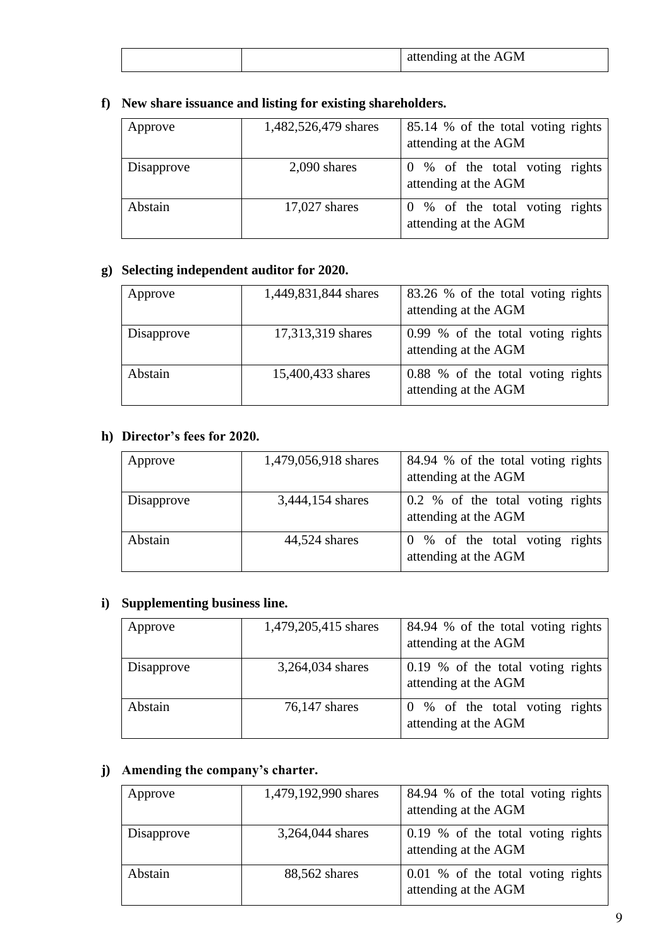|  | attending at the AGM |
|--|----------------------|
|--|----------------------|

# **f) New share issuance and listing for existing shareholders.**

| Approve    | 1,482,526,479 shares | 85.14 % of the total voting rights<br>attending at the AGM |
|------------|----------------------|------------------------------------------------------------|
| Disapprove | $2,090$ shares       | 0 % of the total voting rights<br>attending at the AGM     |
| Abstain    | $17,027$ shares      | 0 % of the total voting rights<br>attending at the AGM     |

# **g) Selecting independent auditor for 2020.**

| Approve    | 1,449,831,844 shares | 83.26 % of the total voting rights<br>attending at the AGM |
|------------|----------------------|------------------------------------------------------------|
| Disapprove | 17,313,319 shares    | 0.99 % of the total voting rights<br>attending at the AGM  |
| Abstain    | 15,400,433 shares    | 0.88 % of the total voting rights<br>attending at the AGM  |

# **h) Director's fees for 2020.**

| Approve    | 1,479,056,918 shares | 84.94 % of the total voting rights<br>attending at the AGM |
|------------|----------------------|------------------------------------------------------------|
| Disapprove | 3,444,154 shares     | 0.2 % of the total voting rights<br>attending at the AGM   |
| Abstain    | 44,524 shares        | 0 % of the total voting rights<br>attending at the AGM     |

# **i) Supplementing business line.**

| Approve    | 1,479,205,415 shares | 84.94 % of the total voting rights<br>attending at the AGM |
|------------|----------------------|------------------------------------------------------------|
| Disapprove | 3,264,034 shares     | 0.19 % of the total voting rights<br>attending at the AGM  |
| Abstain    | 76,147 shares        | 0 % of the total voting rights<br>attending at the AGM     |

# **j) Amending the company's charter.**

| Approve    | 1,479,192,990 shares | 84.94 % of the total voting rights<br>attending at the AGM |
|------------|----------------------|------------------------------------------------------------|
| Disapprove | 3,264,044 shares     | 0.19 % of the total voting rights<br>attending at the AGM  |
| Abstain    | 88,562 shares        | 0.01 % of the total voting rights<br>attending at the AGM  |